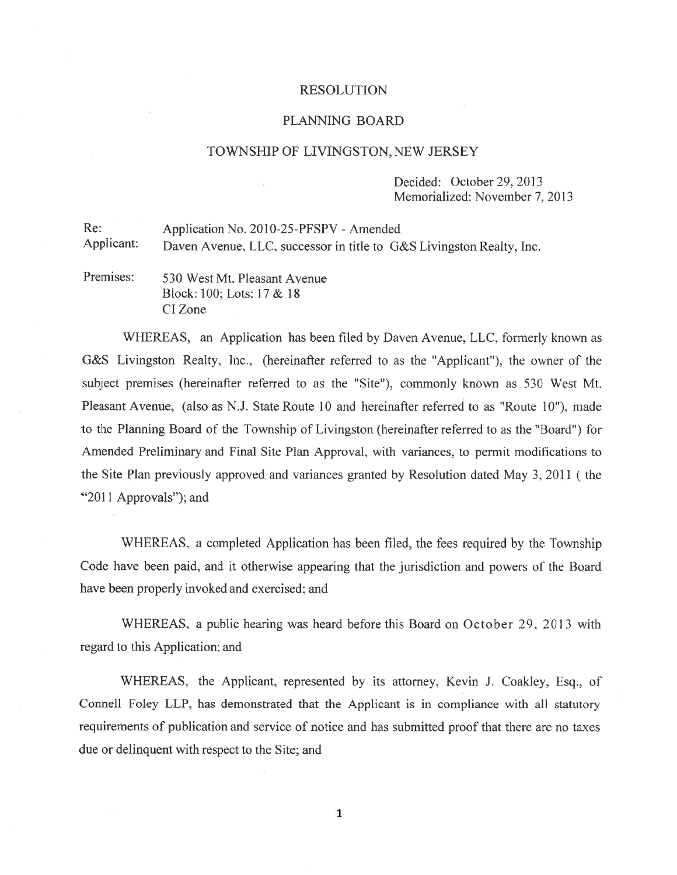#### RESOLUTION

#### PLANNING BOARD

#### TOWNSHIP OF LIVINGSTON, NEW JERSEY

Decided: October 29. 2013 Memorialized: November 7. 2013

Re: Application No. 2010-25-PFSPV - Amended Applicant: Daven Avenue, LLC, successor in title to G&S Livingston Realty, Inc.

Premises: 530 West Mt. Pleasant Avenue Block: 100; Lots: 17 & 18 CIZone

WHEREAS, an Application has been filed by Daven Avenue, LLC, formerly known as G&S Livingston Realty, Inc.. (hereinafter referred to as the "Applicant'), the owner of the subject premises (hereinafter referred to as the "Site"). commonly known as 530 West Mt. Pleasant Avenue, (also as N.J. State Route 10 and hereinafter referred to as "Route 10"), made to the Planning Board of the Township of Livingston (hereinafter referred to as the 'Board') for Amended Preliminary and Final Site Plan Approval, with variances, to permit modifications to the Site Plan previously approved and variances granted by Resolution dated May 3, 2011 (the "2011 Approvals"); and

WHEREAS, <sup>a</sup> completed Application has been filed, the fees required by the Township Code have been paid, and it otherwise appearing that the jurisdiction and powers of the Board have been properly invoked and exercised: and

WHEREAS, a public hearing was heard before this Board on October 29, 2013 with regard to this Application; and

WHEREAS, the Applicant, represented by its attorney, Kevin J. Coakley. Esq., of Connell Foley LLP. has demonstrated that the Applicant is in compliance with all statutory requirements of publication and service of notice and has submitted proof that there are no taxes due or delinquent with respec<sup>t</sup> to the Site; and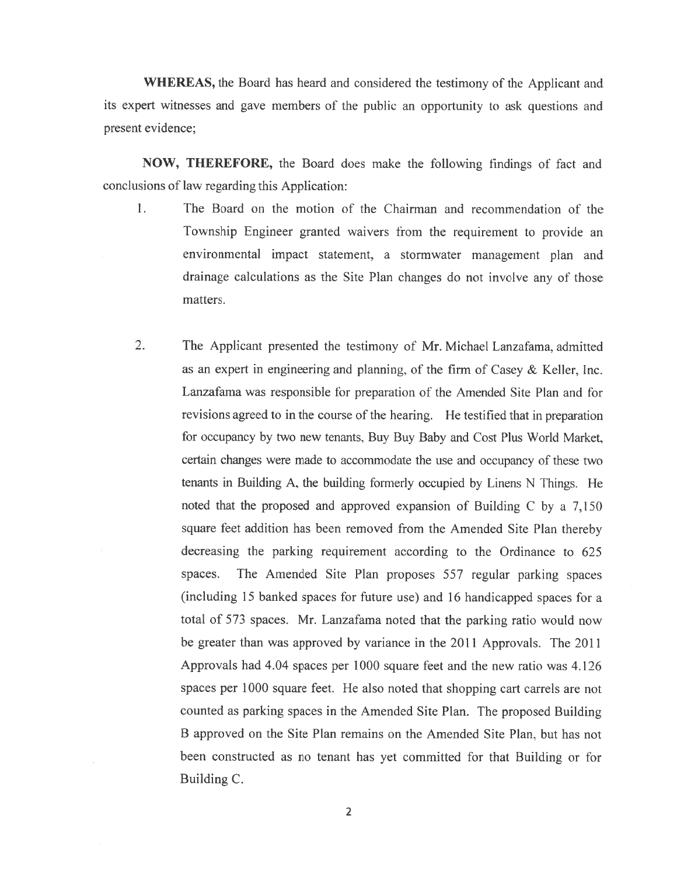WHEREAS, the Board has heard and considered the testimony of the Applicant and its exper<sup>t</sup> witnesses and gave members of the public an opportunity to ask questions and presen<sup>t</sup> evidence;

NOW, THEREFORE, the Board does make the following findings of fact and conclusions of law regarding this Application:

- $\mathbf{1}$ . The Board on the motion of the Chairman and recommendation of the Township Engineer granted waivers from the requirement to provide an environmental impact statement, <sup>a</sup> stormwater managemen<sup>t</sup> <sup>p</sup>lan and drainage calculations as the Site Plan changes do not involve any of those matters.
- 2. The Applicant presented the testimony of Mr. Michael Lanzafama, admitted as an exper<sup>t</sup> in engineering and planning, of the firm of Casey & Keller, Inc. Lanzafama was responsible for preparation of the Amended Site Plan and for revisions agreed to in the course of the hearing. He testified that in preparation for occupancy by two new tenants, Buy Buy Baby and Cost Plus World Market, certain changes were made to accommodate the use and occupancy of these two tenants in Building A, the building formerly occupied by Linens <sup>N</sup> Things. He noted that the propose<sup>d</sup> and approve<sup>d</sup> expansion of Building <sup>C</sup> by <sup>a</sup> 7,150 square feet addition has been removed from the Amended Site Plan thereby decreasing the parking requirement according to the Ordinance to 625 spaces. The Amended Site Plan proposes 557 regular parking spaces (including 15 banked spaces for future use) and 16 handicapped spaces for a total of 573 spaces. Mr. Lanzafama noted that the parking ratio would now be greater than was approved by variance in the 2011 Approvals. The 2011 Approvals had 4.04 spaces per 1000 square feet and the new ratio was 4.126 spaces per 1000 square feet. He also noted that shopping cart carrels are not counted as parking spaces in the Amended Site Plan. The proposed Building B approved on the Site Plan remains on the Amended Site Plan, but has not been constructed as no tenant has ye<sup>t</sup> committed for that Building or for Building C.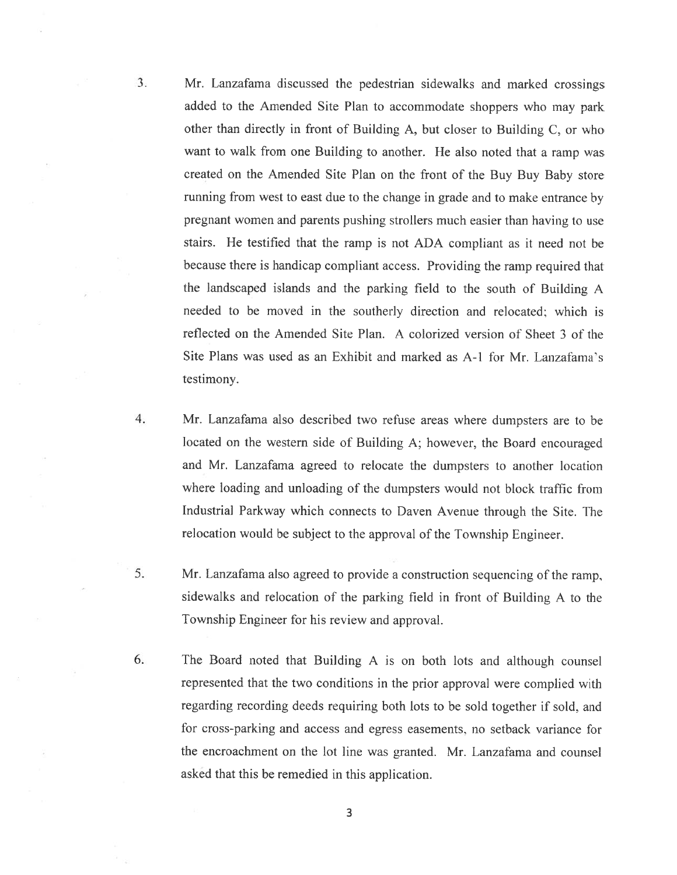3. Mr. Lanzafama discussed the pedestrian sidewalks and marked crossings added to the Amended Site Plan to accommodate shoppers who may par<sup>k</sup> other than directly in front of Building A, hut closer to Building C, or who want to walk from one Building to another. He also noted that <sup>a</sup> ramp was created on the Amended Site Plan on the front of the Buy Buy Baby store running from west to east due to the change in grade and to make entrance by pregnan<sup>t</sup> women and parents pushing strollers much easier than having to use stairs. He testified that the ramp is not ADA compliant as it need not be because there is handicap compliant access. Providing the ramp required that the landscaped islands and the parking field to the south of Building <sup>A</sup> needed to be moved in the southerly direction and relocated: which is reflected on the Amended Site Plan. A colorized version of Sheet 3 of the Site Plans was used as an Exhibit and marked as A-1 for Mr. Lanzafama's testimony.

- 4. Mr. Lanzafama also described two refuse areas where dumpsters are to be located on the western side of Building A; however, the Board encourage<sup>d</sup> and Mr. Lanzafama agreed to relocate the dumpsters to another location where loading and unloading of the dumpsters would not block traffic from Industrial Parkway which connects to Daven Avenue through the Site. The relocation would be subject to the approva<sup>l</sup> of the Township Engineer.
- 5. Mr. Lanzafama also agree<sup>d</sup> to provide <sup>a</sup> construction sequencing of the ramp, sidewalks and relocation of the parking field in front of Building <sup>A</sup> to the Township Engineer for his review and approval.
- 6. The Board noted that Building <sup>A</sup> is on both lots and although counsel represented that the two conditions in the prior approva<sup>l</sup> were complied with regarding recording deeds requiring both lots to be sold together if sold, and for cross-parking and access and egress easements. no setback variance for the encroachment on the lot line was granted. Mr. Lanzafama and counsel asked that this be remedied in this application.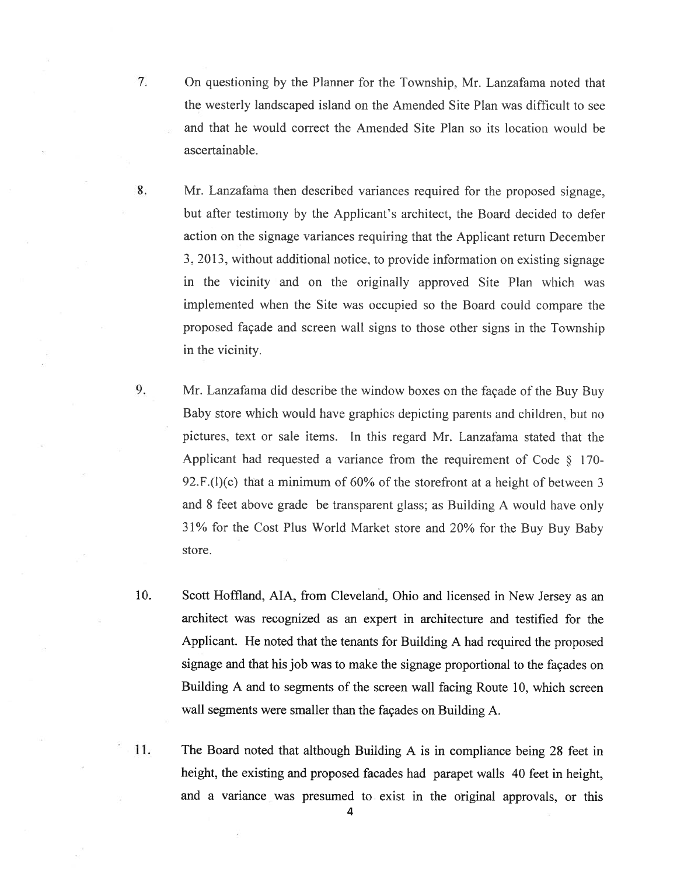- 7. On questioning by the Planner for the Township. Mr. Lanzafama noted that the westerly landscaped island on the Amended Site Plan was difficult to see and that he would correct the Amended Site Plan so its location would he ascertainable.
- 8. Mr. Lanzafama then described variances required for the proposed signage, but after testimony by the Applicant's architect, the Board decided to defer action on the signage variances requiring that the Applicant return December 3, 2013, without additional notice, to provide information on existing signage in the vicinity and on the originally approved Site Plan which was implemented when the Site was occupied so the Board could compare the proposed façade and screen wall signs to those other signs in the Township in the vicinity.
- 9. Mr. Lanzafama did describe the window boxes on the façade of the Buy Buy Baby store which would have graphics depicting parents and children, but no pictures. text or sale items. In this regard Mr. Lanzafama stated that the Applicant had requested a variance from the requirement of Code  $\S$  170-92.F.(l)(c) that <sup>a</sup> minimum of 60% of the storefront at <sup>a</sup> height of between 3 and <sup>8</sup> feet above grade he transparent <sup>g</sup>lass; as Building <sup>A</sup> would have only 31% for the Cost Plus World Market store and 20% for the Buy Buy Baby store.
- 10. Scott Hoffland, AlA, from Cleveland, Ohio and licensed in New Jersey as an architect was recognized as an exper<sup>t</sup> in architecture and testified for the Applicant. He noted that the tenants for Building <sup>A</sup> had required the proposed signage and that his job was to make the signage proportional to the façades on Building A and to segments of the screen wall facing Route 10, which screen wall segments were smaller than the façades on Building A.
- 11. The Board noted that although Building <sup>A</sup> is in compliance being <sup>28</sup> feet in height, the existing and propose<sup>d</sup> facades had parape<sup>t</sup> walls <sup>40</sup> feet in height, and <sup>a</sup> variance was presume<sup>d</sup> to exist in the original approvals, or this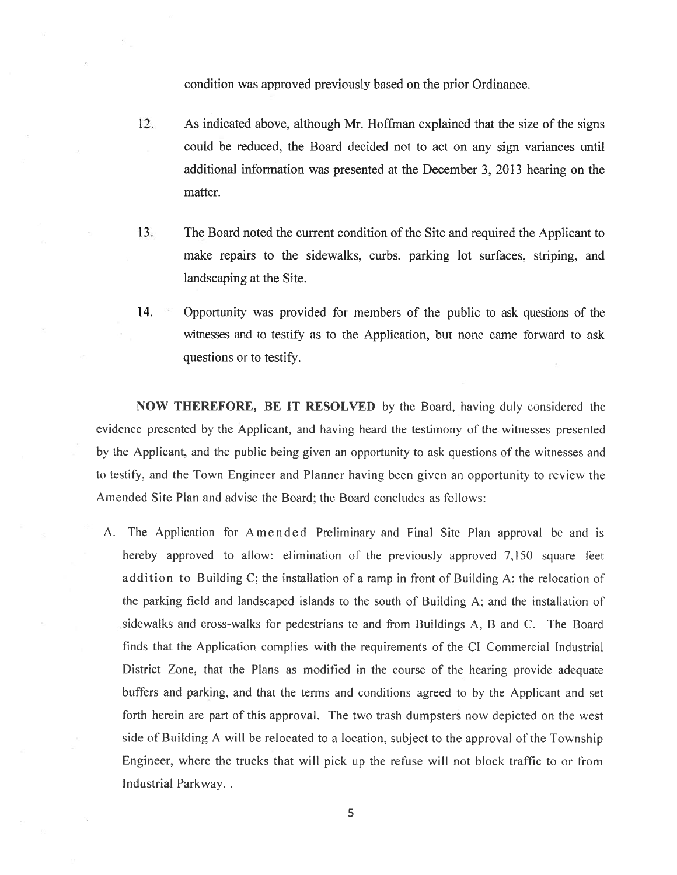condition was approved previously based on the prior Ordinance.

- 12. As indicated above, although Mr. Hoffman explained that the size of the signs could be reduced, the Board decided not to act on any sign variances until additional information was presented at the December 3, 2013 hearing on the matter.
- 13. The Board noted the current condition of the Site and required the Applicant to make repairs to the sidewalks, curbs. parking lot surfaces, striping, and landscaping at the Site.
- 14. Opportunity was provided for members of the public to ask questions of the xitnesses and to testify as to the Application, but none came forward to ask questions or to testify.

NOW THEREFORE, BE IT RESOLVED by the Board. having duly considered the evidence presented by the Applicant, and having heard the testimony of the witnesses presented by the Applicant, and the public being given an opportunity to ask questions of the witnesses and to testify, and the Town Engineer and Planner having been given an opportunity to review the Amended Site Plan and advise the Board; the Board concludes as follows:

A. The Application for Amended Preliminary and Final Site Plan approval be and is hereby approved to allow: elimination of the previously approved 7,150 square feet addition to Building C; the installation of <sup>a</sup> ramp in front of Building A; the relocation of the parking field and landscaped islands to the south of Building A; and the installation of sidewalks and cross-walks for pedestrians to and from Buildings A, B and C. The Board finds that the Application complies with the requirements of the Cl Commercial Industrial District Zone, that the Plans as modified in the course of the hearing provide adequate buffers and parking. and that the terms and conditions agreed to by the Applicant and set forth herein are par<sup>t</sup> of this approval. The two trash dumpsters nov depicted on the west side of Building A will be relocated to <sup>a</sup> location, subject to the approval of the Township Engineer, where the trucks that will pick up the refuse will not block traffic to or from Industrial Parkway.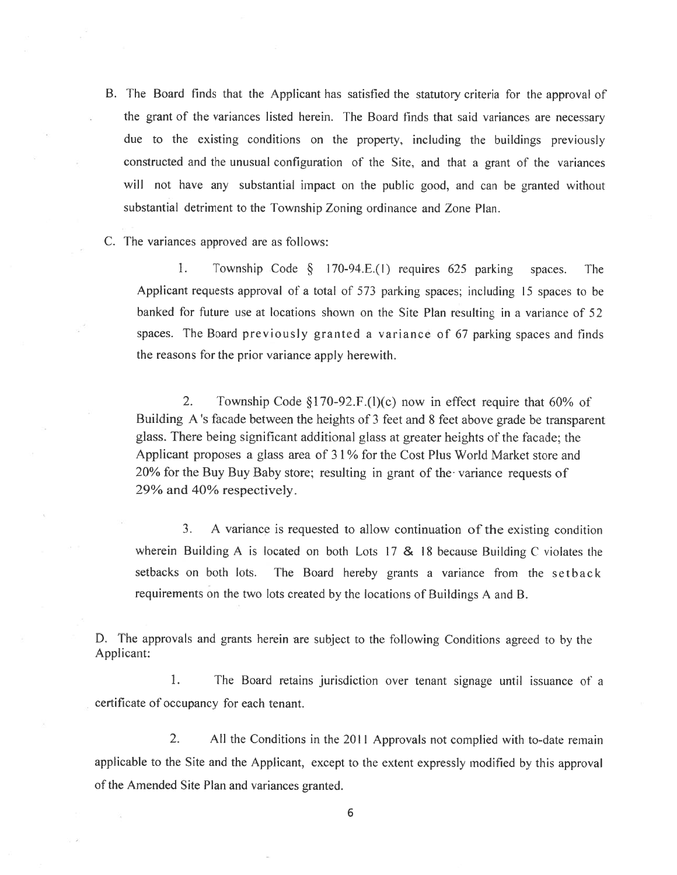- B. The Board finds that the Applicant has satisfied the statutory criteria for the approva<sup>l</sup> of the gran<sup>t</sup> of the variances listed herein. The Board finds that said variances are necessary due to the existing conditions on the property, including the buildings previously constructed and the unusual configuration of the Site, and that <sup>a</sup> gran<sup>t</sup> of the variances will not have any substantial impact on the public good, and can be granted without substantial detriment to the Township Zoning ordinance and Zone Plan.
- C. The variances approved are as follows:

1. Township Code § 170-94.E.(l) requires <sup>625</sup> parking spaces. The Applicant requests approva<sup>l</sup> of <sup>a</sup> total of <sup>573</sup> parking spaces; including <sup>15</sup> spaces to be banked for future use at locations shown on the Site Plan resulting in <sup>a</sup> variance of <sup>52</sup> spaces. The Board previously granted <sup>a</sup> variance of <sup>67</sup> parking spaces and finds the reasons for the prior variance apply herewith.

2. Township Code §170-92.F.(l)(c) now in effect require that 60% of Building <sup>A</sup> 's facade between the heights of <sup>3</sup> feet and <sup>8</sup> feet above grade be transparent glass. There being significant additional glass at greater heights of the facade; the Applicant proposes <sup>a</sup> glass area of 3 1 % for the Cost Plus World Market store and 20% for the Buy Buy Baby store; resulting in gran<sup>t</sup> of the variance requests of 29% and 40% respectively.

3. A variance is requested to allow continuation of the existing condition wherein Building A is located on both Lots 17 & 18 because Building C violates the setbacks on both lots. The Board hereby grants <sup>a</sup> variance from the setback requirements on the two lots created by the locations of Buildings <sup>A</sup> and B.

D. The approvals and grants herein are subject to the following Conditions agree<sup>d</sup> to by the Applicant:

1. The Board retains jurisdiction over tenant signage until issuance of <sup>a</sup> certificate of occupancy for each tenant.

2. All the Conditions in the 2011 Approvals not complied with to-date remain applicable to the Site and the Applicant, excep<sup>t</sup> to the extent expressly modified by this approva<sup>l</sup> of the Amended Site Plan and variances granted.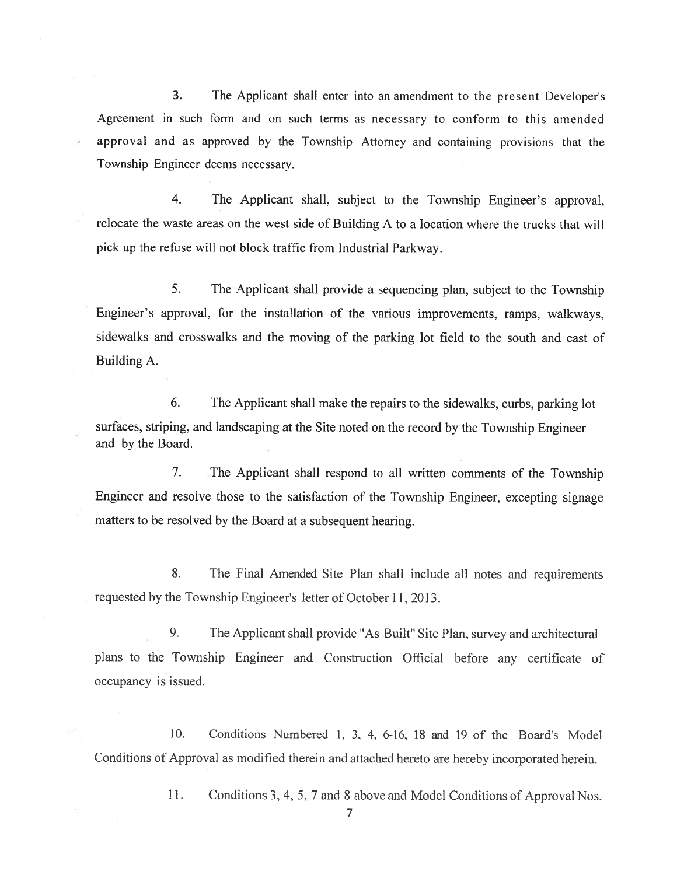3. The Applicant shall enter into an amendment to the presen<sup>t</sup> Developer's Agreement in such form and on such terms as necessary to conform to this amended approval and as approved by the Township Attorney and containing provisions that the Township Engineer deems necessary.

4. The Applicant shall, subject to the Township Engineer's approval, relocate the waste areas on the west side of Building A to <sup>a</sup> location where the trucks that will <sup>p</sup>ick up the refuse will not block traffic from Industrial Parkway.

5. The Applicant shall provide <sup>a</sup> sequencing <sup>p</sup>lan, subject to the Township Engineer's approval, for the installation of the various improvements. ramps. walkways, sidewalks and crosswalks and the moving of the parking lot field to the south and east of Building A.

6. The Applicant shall make the repairs to the sidewalks, curbs, parking lot surfaces, striping, and landscaping at the Site noted on the record by the Township Engineer and by the Board.

7. The Applicant shall respond to all written comments of the Township Engineer and resolve those to the satisfaction of the Township Engineer, excepting signage matters to be resolved by the Board at <sup>a</sup> subsequent hearing.

8. The Final Amended Site Plan shall include all notes and requirements requested by the Township Engineer's letter of October11, 2013.

9. The Applicant shall provide "As Built" Site Plan, survey and architectural <sup>p</sup>lans to the Township Engineer and Construction Official before any certificate of occupancy is issued.

10. Conditions Numbered 1. 3. 4, 6-16. 18 and 19 of the Board's Model Conditions of Approval as modified therein and attached hereto are hereby incorporated herein.

11. Conditions 3. 4. 5, <sup>7</sup> and 8 above and Model Conditions of Approval Nos.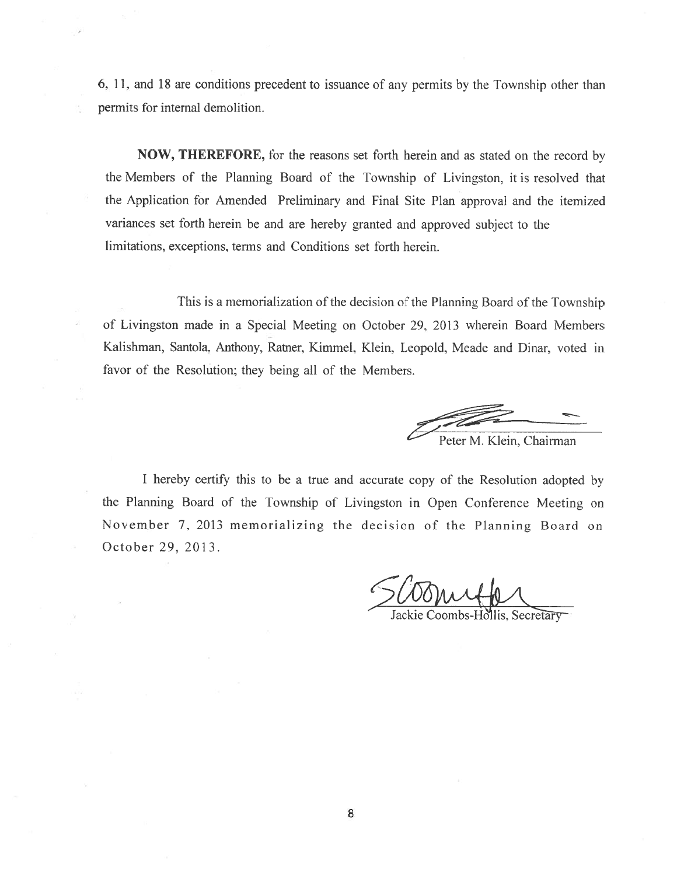6, 11, and 18 are conditions precedent to issuance of any permits by the Township other than permits for internal demolition.

NOW, THEREFORE, for the reasons set forth herein and as stated on the record by the Members of the Planning Board of the Township of Livingston, it is resolved that the Application for Amended Preliminary and Final Site Plan approval and the itemized variances set forth herein he and are hereby granted and approve<sup>d</sup> subject to the limitations, exceptions, terms and Conditions set forth herein.

This is a memorialization of the decision of the Planning Board of the Township of Livingston made in <sup>a</sup> Special Meeting on October 29, 2013 wherein Board Members Kalishman, Santola, Anthony, Ratner, Kimmel. Klein. Leopold. Meade and Dinar, voted in favor of the Resolution; they being all of the Members.

Peter M. Klein, Chairman

<sup>I</sup> hereby certify this to be <sup>a</sup> true and accurate copy of the Resolution adopted by the Planning Board of the Township of Livingston in Open Conference Meeting on November 7, 2013 memorializing the decision of the Planning Board on October 29, 2013.

Jackie Coombs-Hollis, Secretary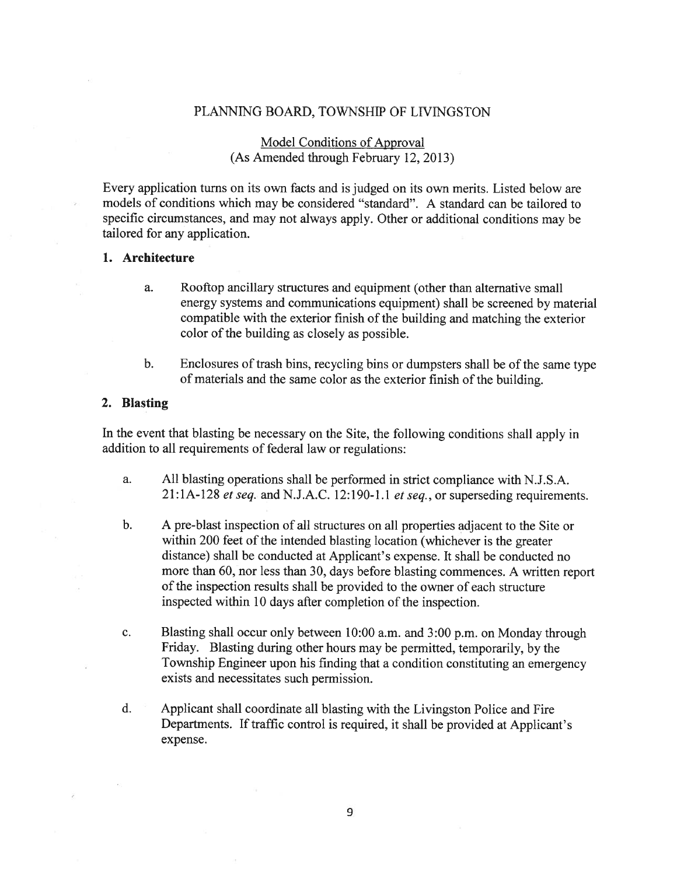# PLANNING BOARD, TOWNSHIP OF LIVINGSTON

# Model Conditions of Approval (As Amended through February 12, 2013)

Every application turns on its own facts and is judged on its own merits. Listed below are models of conditions which may be considered "standard". A standard can be tailored to specific circumstances, and may not always apply. Other or additional conditions may be tailored for any application.

### 1. Architecture

- a. Rooftop ancillary structures and equipment (other than alternative small energy systems and communications equipment) shall be screened by material compatible with the exterior finish of the building and matching the exterior color of the building as closely as possible.
- b. Enclosures of trash bins, recycling bins or dumpsters shall be of the same type of materials and the same color as the exterior finish of the building.

#### 2. Blasting

In the event that blasting be necessary on the Site, the following conditions shall apply in addition to all requirements of federal law or regulations:

- a. All blasting operations shall be performed in strict compliance with N.J.S.A.  $21:1A-128$  et seq. and N.J.A.C. 12:190-1.1 et seq., or superseding requirements.
- b. A pre-blast inspection of all structures on all properties adjacent to the Site or within 200 feet of the intended blasting location (whichever is the greater distance) shall be conducted at Applicant's expense. It shall be conducted no more than 60, nor less than 30, days before blasting commences. <sup>A</sup> written repor<sup>t</sup> of the inspection results shall be provided to the owner of each structure inspected within 10 days after completion of the inspection.
- c. Blasting shall occur only between 10:00 a.m. and 3:00 p.m. on Monday through Friday. Blasting during other hours may be permitted, temporarily, by the Township Engineer upon his finding that <sup>a</sup> condition constituting an emergency exists and necessitates such permission.
- d. Applicant shall coordinate all blasting with the Livingston Police and Fire Departments. If traffic control is required, it shall be provided at Applicant's expense.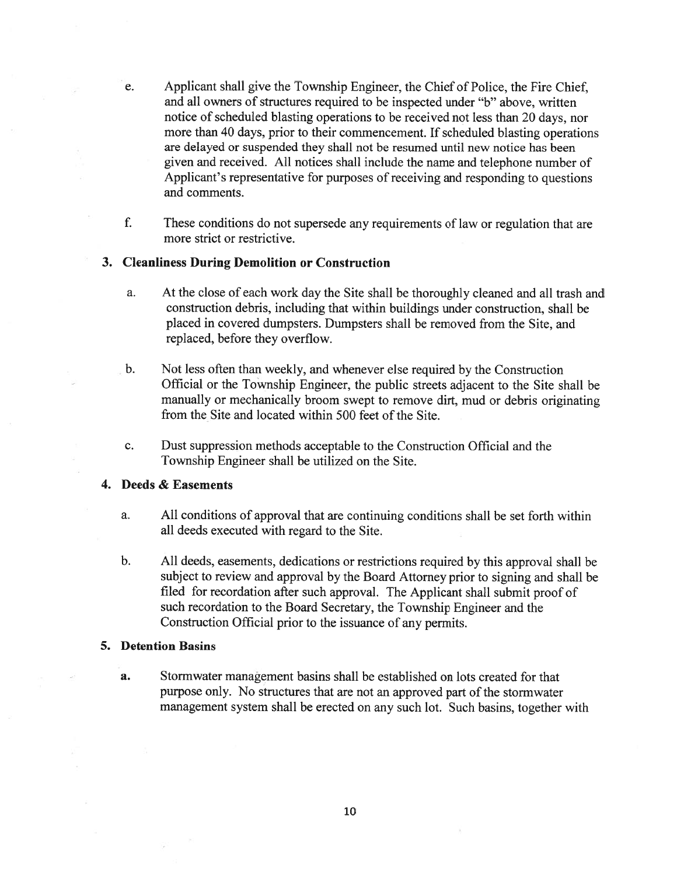- e. Applicant shall give the Township Engineer, the Chief of Police, the Fire Chief, and all owners of structures required to be inspected under "b" above, written notice of scheduled blasting operations to be received not less than 20 days, nor more than 40 days, prior to their commencement. If scheduled blasting operations are delayed or suspended they shall not be resumed until new notice has been given and received. All notices shall include the name and telephone number of Applicant's representative for purposes of receiving and responding to questions and comments.
- f. These conditions do not supersede any requirements of law or regulation that are more strict or restrictive.

### 3. Cleanliness During Demolition or Construction

- a. At the close of each work day the Site shall be thoroughly cleaned and all trash and construction debris, including that within buildings under construction, shall be placed in covered dumpsters. Dumpsters shall be removed from the Site, and replaced, before they overflow.
- b. Not less often than weekly, and whenever else required by the Construction Official or the Township Engineer, the public streets adjacent to the Site shall be manually or mechanically broom swep<sup>t</sup> to remove dirt, mud or debris originating from the Site and located within 500 feet of the Site.
- c. Dust suppression methods acceptable to the Construction Official and the Township Engineer shall be utilized on the Site.

## 4. Deeds & Easements

- a. All conditions of approval that are continuing conditions shall be set forth within all deeds executed with regard to the Site.
- b. All deeds, easements, dedications or restrictions required by this approva<sup>l</sup> shall be subject to review and approva<sup>l</sup> by the Board Attorney prior to signing and shall be filed for recordation after such approval. The Applicant shall submit proo<sup>f</sup> of such recordation to the Board Secretary, the Township Engineer and the Construction Official prior to the issuance of any permits.

#### 5. Detention Basins

a. Stormwater managemen<sup>t</sup> basins shall be established on lots created for that purpose only. No structures that are not an approved par<sup>t</sup> of the storrnwater managemen<sup>t</sup> system shall be erected on any such lot. Such basins, together with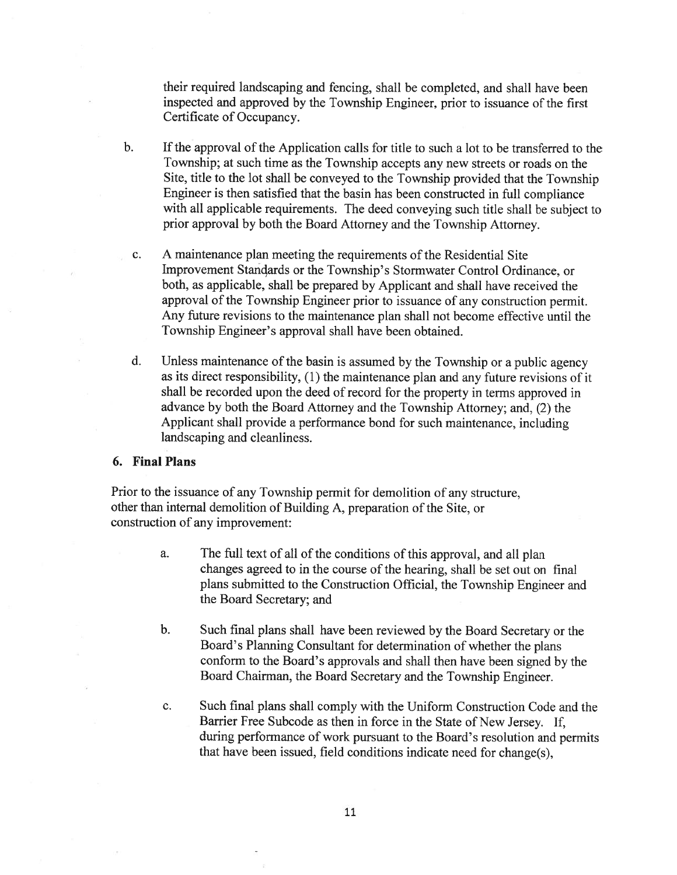their required landscaping and fencing, shall be completed, and shall have been inspected and approved by the Township Engineer, prior to issuance of the first Certificate of Occupancy.

- b. If the approval of the Application calls for title to such <sup>a</sup> lot to be transferred to the Township; at such time as the Township accepts any new streets or roads on the Site, title to the lot shall be conveye<sup>d</sup> to the Township provided that the Township Engineer is then satisfied that the basin has been constructed in full compliance with all applicable requirements. The deed conveying such title shall be subject to prior approva<sup>l</sup> by both the Board Attorney and the Township Attorney.
	- c. A maintenance plan meeting the requirements of the Residential Site Improvement Standards or the Township's Stormwater Control Ordinance, or both, as applicable, shall be prepared by Applicant and shall have received the approval of the Township Engineer prior to issuance of any construction permit. Any future revisions to the maintenance plan shall not become effective until the Township Engineer's approval shall have been obtained.
	- d. Unless maintenance of the basin is assumed by the Township or <sup>a</sup> public agency as its direct responsibility, (1) the maintenance <sup>p</sup>lan and any future revisions of it shall be recorded upon the deed of record for the property in terms approve<sup>d</sup> in advance by both the Board Attorney and the Township Attorney; and, (2) the Applicant shall provide <sup>a</sup> performance bond for such maintenance, including landscaping and cleanliness.

### 6. Final Plans

Prior to the issuance of any Township permit for demolition of any structure, other than internal demolition of Building A, preparation of the Site, or construction of any improvement:

- a. The full text of all of the conditions of this approval, and all plan changes agreed to in the course of the hearing, shall be set out on final <sup>p</sup>lans submitted to the Construction Official, the Township Engineer and the Board Secretary; and
- b. Such final <sup>p</sup>lans shall have been reviewed by the Board Secretary or the Board's Planning Consultant for determination of whether the <sup>p</sup>lans conform to the Board's approvals and shall then have been signed by the Board Chairman, the Board Secretary and the Township Engineer.
- c. Such final plans shall comply with the Uniform Construction Code and the Barrier Free Subcode as then in force in the State of New Jersey. If, during performance of work pursuan<sup>t</sup> to the Board's resolution and permits that have been issued, field conditions indicate need for change(s),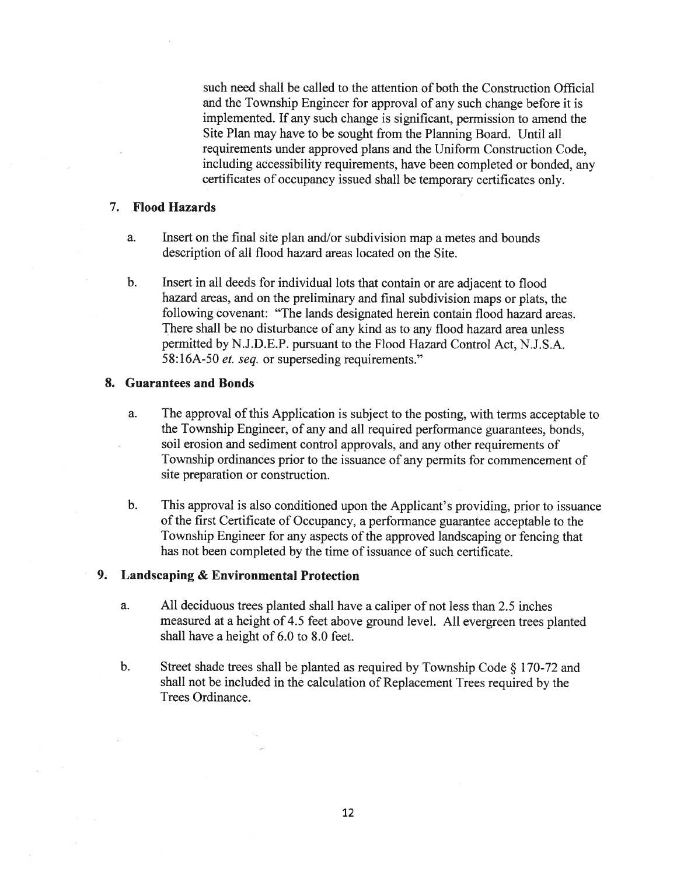such need shall be called to the attention of both the Construction Official and the Township Engineer for approval of any such change before it is implemented. If any such change is significant, permission to amend the Site Plan may have to be sought from the Planning Board. Until all requirements under approved plans and the Uniform Construction Code, including accessibility requirements, have been completed or bonded, any certificates of occupancy issued shall be temporary certificates only.

## 7. Flood Hazards

- a. Insert on the final site <sup>p</sup>lan and/or subdivision map <sup>a</sup> metes and bounds description of all flood hazard areas located on the Site.
- b. Insert in all deeds for individual lots that contain or are adjacent to flood hazard areas, and on the preliminary and final subdivision maps or <sup>p</sup>lats. the following covenant: "The lands designated herein contain flood hazard areas. There shall be no disturbance of any kind as to any flood hazard area unless permitted by N.J.D.E.P. pursuan<sup>t</sup> to the Flood Hazard Control Act, N.J.S.A. 58:16A-50 *et. seq.* or superseding requirements."

# 8. Guarantees and Bonds

- a. The approval of this Application is subject to the posting, with terms acceptable to the Township Engineer, of any and all required performance guarantees. bonds, soil erosion and sediment control approvals, and any other requirements of Township ordinances prior to the issuance of any permits for commencement of site preparation or construction.
- b. This approva<sup>l</sup> is also conditioned upon the Applicant's providing, prior to issuance of the first Certificate of Occupancy, <sup>a</sup> performance guarantee acceptable to the Township Engineer for any aspects of the approved landscaping or fencing that has not been completed by the time of issuance of such certificate.

## 9. Landscaping & Environmental Protection

- a. All deciduous trees <sup>p</sup>lanted shall have <sup>a</sup> caliper of not less than 2.5 inches measured at <sup>a</sup> height of 4.5 feet above groun<sup>d</sup> level. All evergreen trees <sup>p</sup>lanted shall have <sup>a</sup> height of 6.0 to 8.0 feet.
- b. Street shade trees shall be planted as required by Township Code  $\S$  170-72 and shall not be included in the calculation of Replacement Trees required by the Trees Ordinance.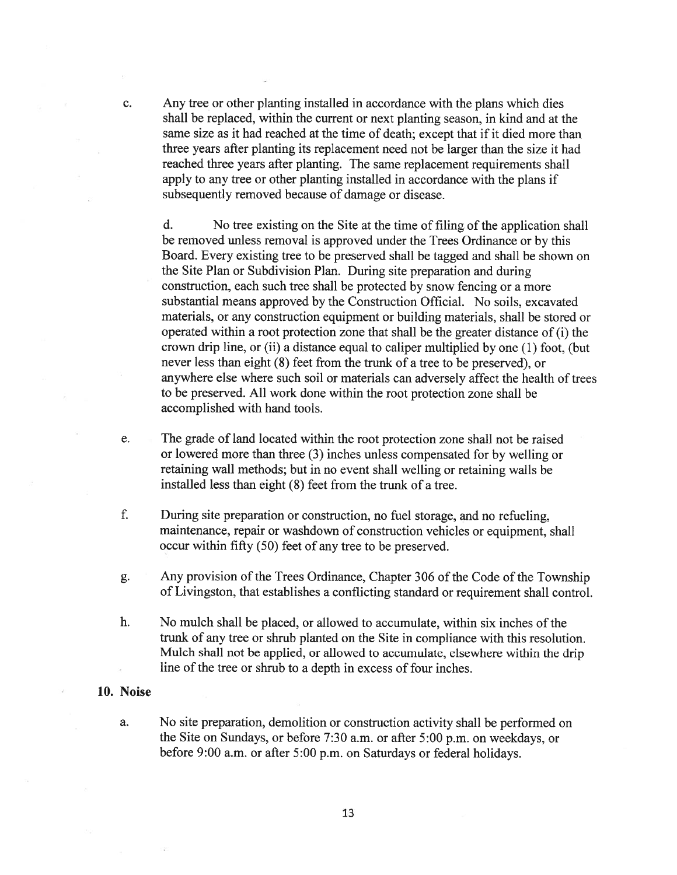c. Any tree or other planting installed in accordance with the plans which dies shall be replaced, within the current or next planting season, in kind and at the same size as it had reached at the time of death; excep<sup>t</sup> that if it died more than three years after planting its replacement need not be larger than the size it had reached three years after planting. The same replacement requirements shall apply to any tree or other planting installed in accordance with the plans if subsequently removed because of damage or disease.

d. No tree existing on the Site at the time of filing of the application shall be removed unless removal is approved under the Trees Ordinance or by this Board. Every existing tree to be preserved shall be tagged and shall be shown on the Site Plan or Subdivision Plan. During site preparation and during construction, each such tree shall be protected by snow fencing or <sup>a</sup> more substantial means approved by the Construction Official. No soils, excavated materials, or any construction equipment or building materials, shall be stored or operated within <sup>a</sup> root protection zone that shall be the greater distance of (i) the crown drip line, or (ii) <sup>a</sup> distance equal to caliper multiplied by one (1) foot. (but never less than eight (8) feet from the trunk of <sup>a</sup> tree to be preserved), or anywhere else where such soil or materials can adversely affect the health of trees to be preserved. All work done within the root protection zone shall be accomplished with hand tools.

- e. The grade of land located within the root protection zone shall not be raised or lowered more than three (3) inches unless compensated for by welling or retaining wall methods; but in no event shall welling or retaining walls be installed less than eight (8) feet from the trunk of <sup>a</sup> tree.
- f. During site preparation or construction, no fuel storage, and no refueling, maintenance, repair or washdown of construction vehicles or equipment, shall occur within fifty (50) feet of any tree to be preserved.
- g. Any provision of the Trees Ordinance, Chapter 306 of the Code of the Township of Livingston, that establishes <sup>a</sup> conflicting standard or requirement shall control.
- h. No mulch shall be placed, or allowed to accumulate, within six inches of the trunk of any tree or shrub planted on the Site in compliance with this resolution. Mulch shall not be applied, or allowed to accumulate, elsewhere within the drip line of the tree or shrub to <sup>a</sup> depth in excess of four inches.

#### 10. Noise

a. No site preparation, demolition or construction activity shall be performed on the Site on Sundays, or before 7:30 a.m. or after 5:00 p.m. on weekdays, or before 9:00 a.m. or after 5:00 p.m. on Saturdays or federal holidays.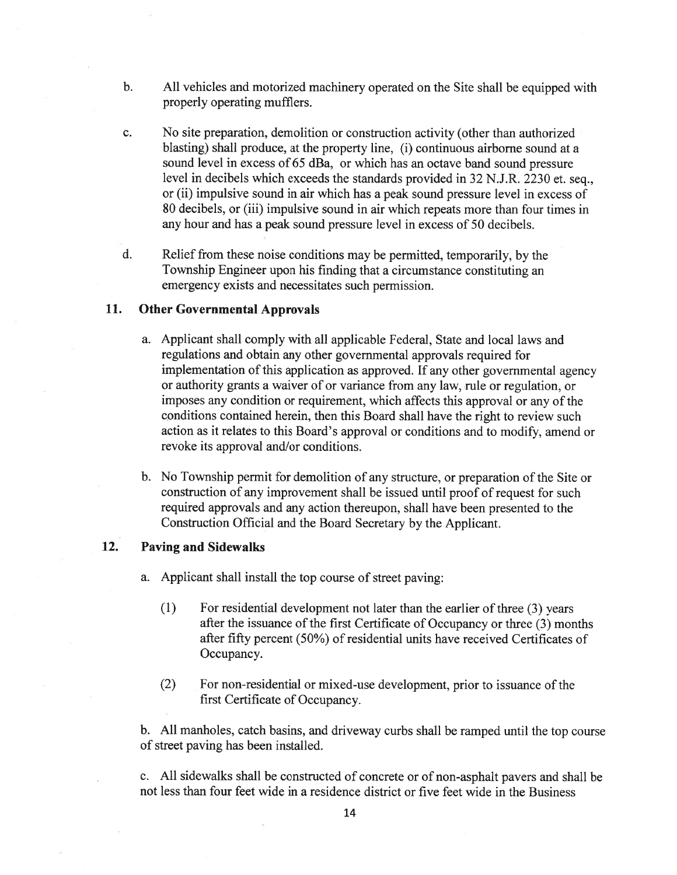- b. All vehicles and motorized machinery operated on the Site shall be equipped with properly operating mufflers.
- c. No site preparation, demolition or construction activity (other than authorized blasting) shall produce, at the property line, (i) continuous airborne sound at <sup>a</sup> sound level in excess of 65 dBa, or which has an octave band sound pressure level in decibels which exceeds the standards provided in <sup>32</sup> N.J.R. <sup>2230</sup> et. seq., or (ii) impulsive sound in air which has <sup>a</sup> peak sound pressure level in excess of 80 decibels, or (iii) impulsive sound in air which repeats more than four times in any hour and has <sup>a</sup> peak sound pressure level in excess of 50 decibels.
- d. Relief from these noise conditions may be permitted, temporarily, by the Township Engineer upon his finding that <sup>a</sup> circumstance constituting an emergency exists and necessitates such permission.

# 11. Other Governmental Approvals

- a. Applicant shall comply with all applicable Federal. State and local laws and regulations and obtain any other governmental approvals required for implementation of this application as approved. If any other governmental agency or authority grants <sup>a</sup> waiver of or variance from any law, rule or regulation. or imposes any condition or requirement, which affects this approval or any of the conditions contained herein, then this Board shall have the right to review such action as it relates to this Board's approval or conditions and to modify. amend or revoke its approval and/or conditions.
- b. No Township permit for demolition of any structure, or preparation of the Site or construction of any improvement shall be issued until proof of reques<sup>t</sup> for such required approvals and any action thereupon, shall have been presented to the Construction Official and the Board Secretary by the Applicant.

# 12. Paving and Sidewalks

- a. Applicant shall install the top course of street paving:
	- $(1)$  For residential development not later than the earlier of three  $(3)$  years after the issuance of the first Certificate of Occupancy or three (3) months after fifty percen<sup>t</sup> (50%) of residential units have received Certificates of Occupancy.
	- (2) For non-residential or mixed-use development, prior to issuance of the first Certificate of Occupancy.

b. All manholes, catch basins, and driveway curbs shall be ramped until the top course of street paving has been installed.

c. All sidewalks shall be constructed of concrete or of non-asphalt payers and shall be not less than four feet wide in <sup>a</sup> residence district or five feet wide in the Business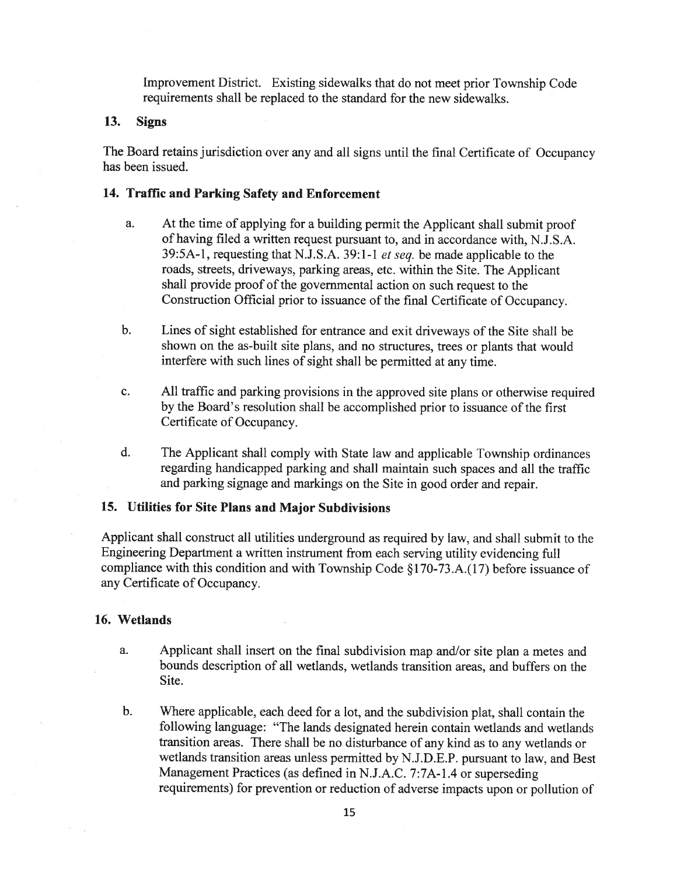Improvement District. Existing sidewalks that do not meet prior Township Code requirements shall be replaced to the standard for the new sidewalks.

### 13. Signs

The Board retains jurisdiction over any and all signs until the final Certificate of Occupancy has been issued.

#### 14. Traffic and Parking Safety and Enforcement

- a. At the time of applying for <sup>a</sup> building permit the Applicant shall submit proof of having filed <sup>a</sup> written reques<sup>t</sup> pursuan<sup>t</sup> to, and in accordance with. N.J.S.A. 39:5A-l, requesting that N.J.S.A. 39:1-1 et seq. be made applicable to the roads, streets, driveways, parking areas, etc. within the Site. The Applicant shall provide proof of the governmental action on such request to the Construction Official prior to issuance of the final Certificate of Occupancy.
- b. Lines of sight established for entrance and exit driveways of the Site shall be shown on the as-built site <sup>p</sup>lans, and no structures, trees or <sup>p</sup>lants that would interfere with such lines of sight shall be permitted at any time.
- c. All traffic and parking provisions in the approve<sup>d</sup> site <sup>p</sup>lans or otherwise required by the Board's resolution shall be accomplished prior to issuance of the first Certificate of Occupancy.
- d. The Applicant shall comply with State law and applicable Township ordinances regarding handicapped parking and shall maintain such spaces and all the traffic and parking signage and markings on the Site in goo<sup>d</sup> order and repair.

# 15. Utilities for Site Plans and Major Subdivisions

Applicant shall construct all utilities underground as required by law, and shall submit to the Engineering Department <sup>a</sup> written instrument from each serving utility evidencing full compliance with this condition and with Township Code § 170-73 .A.( 17) before issuance of any Certificate of Occupancy.

## 16. Wetlands

- a. Applicant shall insert on the final subdivision map and/or site <sup>p</sup>lan <sup>a</sup> metes and bounds description of all wetlands. wetlands transition areas, and buffers on the Site.
- b. Where applicable, each deed for <sup>a</sup> lot, and the subdivision <sup>p</sup>lat, shall contain the following language: "The lands designated herein contain wetlands and wetlands transition areas. There shall be no disturbance of any kind as to any wetlands or wetlands transition areas unless permitted by N.J.D.E.P. pursuan<sup>t</sup> to law, and Best Management Practices (as defined in N.J.A.C. 7:7A-l.4 or superseding requirements) for prevention or reduction of adverse impacts upon or pollution of